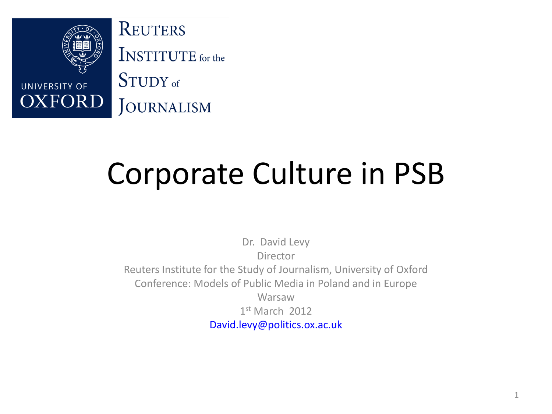

## Corporate Culture in PSB

Dr. David Levy Director Reuters Institute for the Study of Journalism, University of Oxford Conference: Models of Public Media in Poland and in Europe Warsaw 1 st March 2012 [David.levy@politics.ox.ac.uk](mailto:David.levy@politics.ox.ac.uk)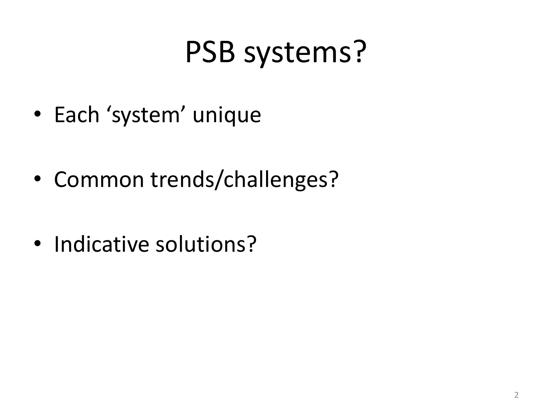## PSB systems?

- Each 'system' unique
- Common trends/challenges?
- Indicative solutions?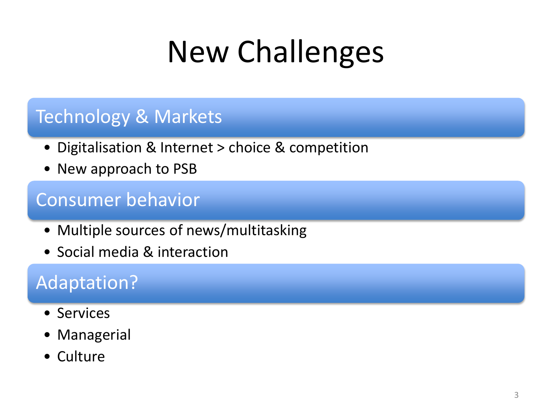## New Challenges

#### Technology & Markets

- Digitalisation & Internet > choice & competition
- New approach to PSB

#### Consumer behavior

- Multiple sources of news/multitasking
- Social media & interaction

#### Adaptation?

- Services
- Managerial
- Culture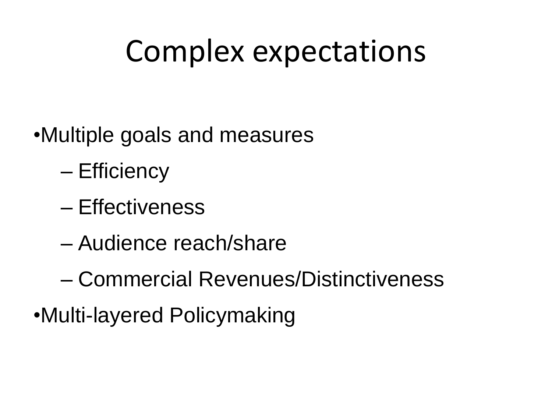## Complex expectations

- •Multiple goals and measures
	- Efficiency
	- Effectiveness
	- Audience reach/share
	- Commercial Revenues/Distinctiveness
- •Multi-layered Policymaking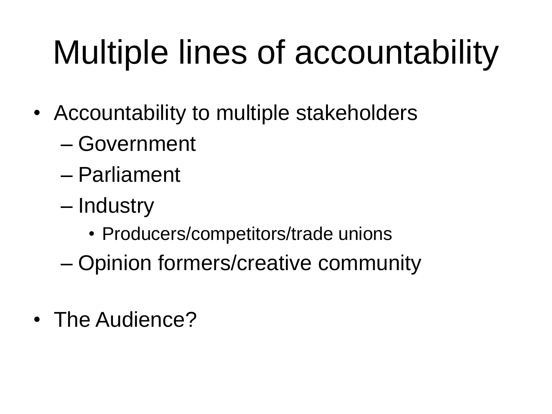# Multiple lines of accountability

- Accountability to multiple stakeholders
	- Government
	- Parliament
	- Industry
		- Producers/competitors/trade unions
	- Opinion formers/creative community
- The Audience?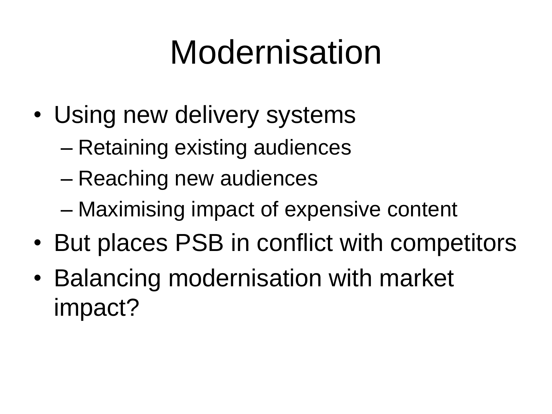# Modernisation

- Using new delivery systems
	- Retaining existing audiences
	- Reaching new audiences
	- Maximising impact of expensive content
- But places PSB in conflict with competitors
- Balancing modernisation with market impact?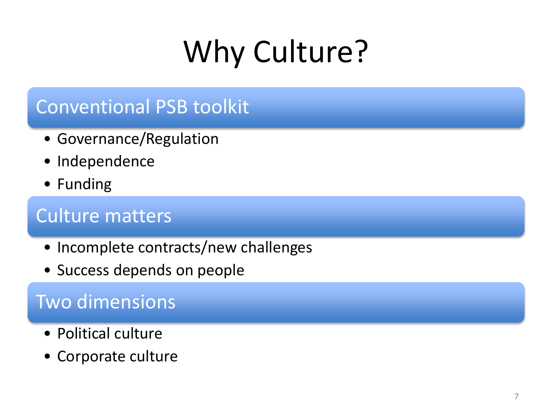# Why Culture?

### Conventional PSB toolkit

- Governance/Regulation
- Independence
- Funding

### Culture matters

- Incomplete contracts/new challenges
- Success depends on people

### Two dimensions

- Political culture
- Corporate culture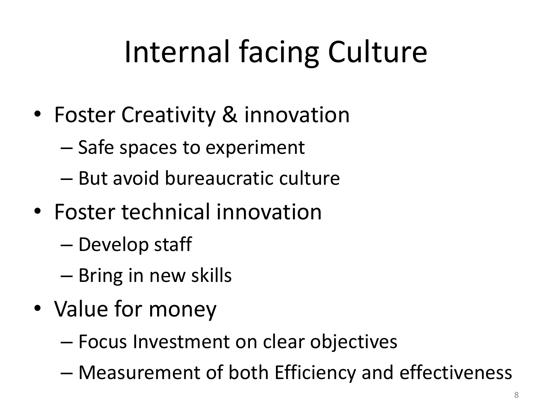# Internal facing Culture

- Foster Creativity & innovation
	- Safe spaces to experiment
	- But avoid bureaucratic culture
- Foster technical innovation
	- Develop staff
	- Bring in new skills
- Value for money
	- Focus Investment on clear objectives
	- Measurement of both Efficiency and effectiveness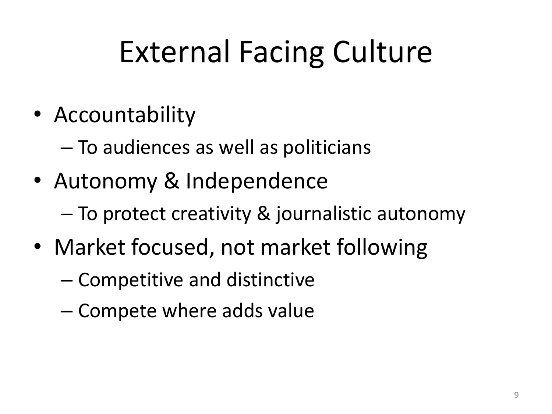## External Facing Culture

• Accountability

– To audiences as well as politicians

- Autonomy & Independence
	- To protect creativity & journalistic autonomy
- Market focused, not market following
	- Competitive and distinctive
	- Compete where adds value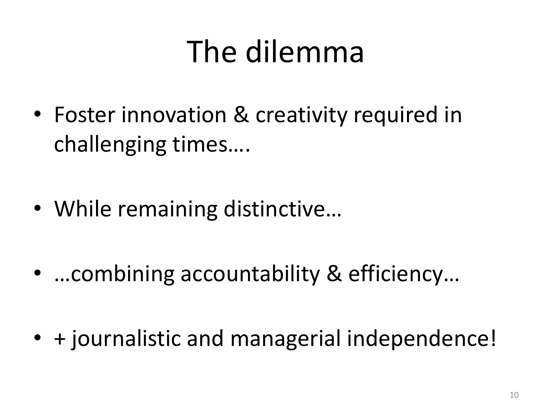## The dilemma

- Foster innovation & creativity required in challenging times….
- While remaining distinctive...
- …combining accountability & efficiency…
- + journalistic and managerial independence!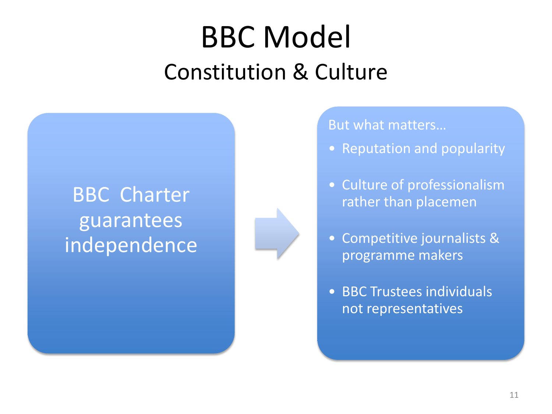## BBC Model Constitution & Culture

### BBC Charter guarantees independence



#### But what matters…

- Reputation and popularity
- Culture of professionalism rather than placemen
- Competitive journalists & programme makers
- BBC Trustees individuals not representatives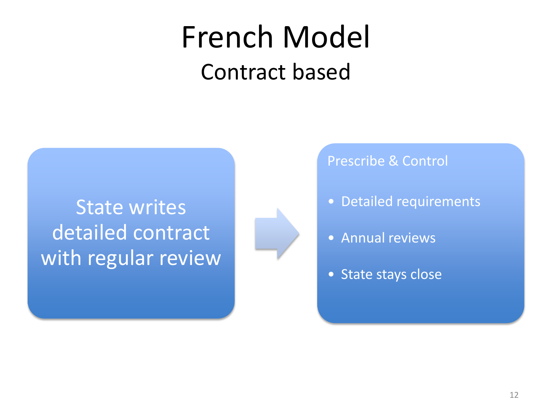## French Model Contract based

State writes detailed contract with regular review



Prescribe & Control

- Detailed requirements
- Annual reviews
- State stays close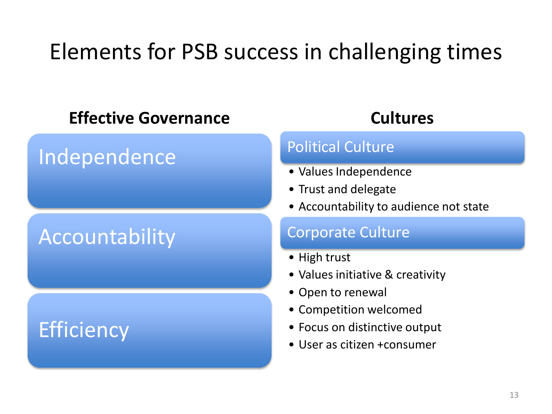### Elements for PSB success in challenging times

#### **Effective Governance**

### Independence

### Accountability

### **Efficiency**

#### **Cultures**

#### Political Culture

- Values Independence
- Trust and delegate
- Accountability to audience not state

#### Corporate Culture

- High trust
- Values initiative & creativity
- Open to renewal
- Competition welcomed
- Focus on distinctive output
- User as citizen +consumer